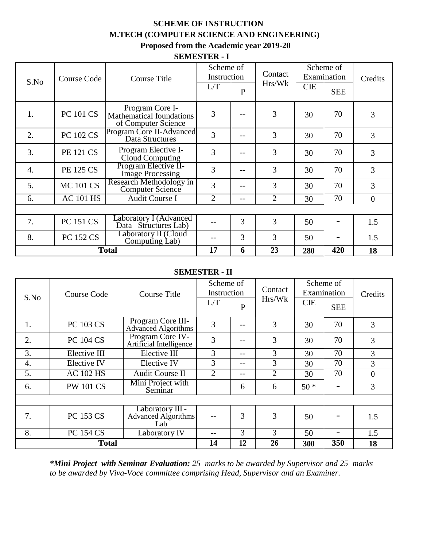### **SCHEME OF INSTRUCTION M.TECH (COMPUTER SCIENCE AND ENGINEERING) Proposed from the Academic year 2019-20**

#### **SEMESTER - I**

| Course Code<br>S.No |                  | <b>Course Title</b>                                                       | Scheme of<br>Instruction |              | Contact        | Scheme of<br>Examination |            | Credits        |
|---------------------|------------------|---------------------------------------------------------------------------|--------------------------|--------------|----------------|--------------------------|------------|----------------|
|                     |                  |                                                                           | L/T                      | $\mathbf{P}$ | Hrs/Wk         | <b>CIE</b>               | <b>SEE</b> |                |
| 1.                  | <b>PC 101 CS</b> | Program Core I-<br><b>Mathematical foundations</b><br>of Computer Science | 3                        |              | 3              | 30                       | 70         | 3              |
| 2.                  | <b>PC 102 CS</b> | Program Core II-Advanced<br>Data Structures                               | 3                        |              | 3              | 30                       | 70         | 3              |
| 3.                  | <b>PE 121 CS</b> | Program Elective I-<br>Cloud Computing                                    | 3                        |              | 3              | 30                       | 70         | 3              |
| $\overline{4}$ .    | <b>PE 125 CS</b> | Program Elective II-<br><b>Image Processing</b>                           | 3                        |              | 3              | 30                       | 70         | 3              |
| 5.                  | <b>MC 101 CS</b> | Research Methodology in<br>Computer Science                               | 3                        |              | 3              | 30                       | 70         | 3              |
| 6.                  | <b>AC 101 HS</b> | Audit Course I                                                            | $\overline{2}$           |              | $\overline{2}$ | 30                       | 70         | $\overline{0}$ |
|                     |                  |                                                                           |                          |              |                |                          |            |                |
| 7.                  | <b>PC 151 CS</b> | Laboratory I (Advanced<br>Data Structures Lab)                            |                          | 3            | 3              | 50                       |            | 1.5            |
| 8.                  | <b>PC 152 CS</b> | Laboratory II (Cloud<br>Computing Lab)                                    |                          | 3            | 3              | 50                       |            | 1.5            |
|                     | <b>Total</b>     |                                                                           |                          | 6            | 23             | 280                      | 420        | 18             |

#### **SEMESTER - II**

|      |                  |                                                 | Scheme of   |              | Contact        | Scheme of   |            |                |
|------|------------------|-------------------------------------------------|-------------|--------------|----------------|-------------|------------|----------------|
| S.No | Course Code      | Course Title                                    | Instruction |              |                | Examination |            | Credits        |
|      |                  |                                                 | L/T         | $\mathbf{P}$ | Hrs/Wk         | <b>CIE</b>  | <b>SEE</b> |                |
| 1.   | <b>PC 103 CS</b> | Program Core III-<br><b>Advanced Algorithms</b> | 3           |              | 3              | 30          | 70         | 3              |
| 2.   | <b>PC 104 CS</b> | Program Core IV-<br>Artificial Intelligence     | 3           | --           | 3              | 30          | 70         | 3              |
| 3.   | Elective III     | Elective III                                    | 3           | --           | 3              | 30          | 70         | 3              |
| 4.   | Elective IV      | Elective IV                                     | 3           | $- -$        | 3              | 30          | 70         | 3              |
| 5.   | <b>AC 102 HS</b> | <b>Audit Course II</b>                          | 2           | $- -$        | $\overline{2}$ | 30          | 70         | $\overline{0}$ |
| 6.   | <b>PW 101 CS</b> | Mini Project with<br>Seminar                    |             | 6            | 6              | $50*$       |            | 3              |
|      |                  |                                                 |             |              |                |             |            |                |
| 7.   | <b>PC 153 CS</b> | Laboratory III -<br>Advanced Algorithms<br>Lab  |             | 3            | 3              | 50          |            | 1.5            |
| 8.   | <b>PC 154 CS</b> | Laboratory IV                                   | --          | 3            | 3              | 50          |            | 1.5            |
|      | <b>Total</b>     |                                                 | 14          | 12           | 26             | 300         | 350        | 18             |

*\*Mini Project with Seminar Evaluation: 25 marks to be awarded by Supervisor and 25 marks to be awarded by Viva-Voce committee comprising Head, Supervisor and an Examiner.*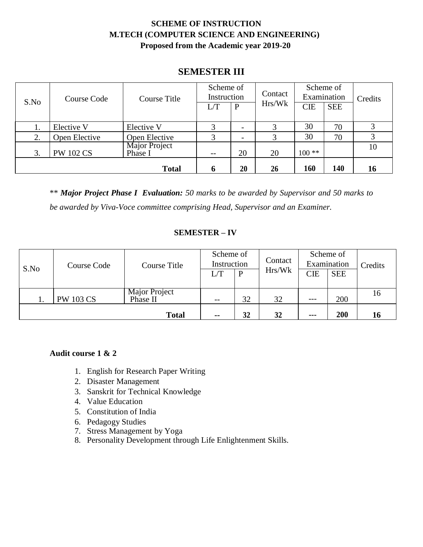## **SCHEME OF INSTRUCTION M.TECH (COMPUTER SCIENCE AND ENGINEERING) Proposed from the Academic year 2019-20**

## **SEMESTER III**

| Course Code<br>S.No |                  | Course Title             | Scheme of<br>Instruction |    | Contact | Scheme of<br>Examination |            | Credits |
|---------------------|------------------|--------------------------|--------------------------|----|---------|--------------------------|------------|---------|
|                     |                  |                          |                          | P  | Hrs/Wk  | <b>CIE</b>               | <b>SEE</b> |         |
| ī.                  | Elective V       | Elective V               | 3                        |    |         | 30                       | 70         |         |
| 2.                  | Open Elective    | Open Elective            | 3                        |    | 3       | 30                       | 70         |         |
| 3.                  | <b>PW 102 CS</b> | Major Project<br>Phase I | --                       | 20 | 20      | $100**$                  |            | 10      |
|                     |                  | <b>Total</b>             | n                        | 20 | 26      | 160                      | 140        | 16      |

\*\* *Major Project Phase I Evaluation: 50 marks to be awarded by Supervisor and 50 marks to be awarded by Viva-Voce committee comprising Head, Supervisor and an Examiner.*

#### **SEMESTER – IV**

| S.No | Course Code      | Course Title              | Scheme of<br>Instruction |    | Contact | Scheme of<br>Examination |            | Credits |
|------|------------------|---------------------------|--------------------------|----|---------|--------------------------|------------|---------|
|      |                  |                           |                          | P  | Hrs/Wk  | <b>CIE</b>               | <b>SEE</b> |         |
|      | <b>PW 103 CS</b> | Major Project<br>Phase II | $-$                      | 32 | 32      | $---$                    | 200        | 16      |
|      |                  | <b>Total</b>              | $\sim$ $\sim$            | 32 | 32      | $- - -$                  | 200        | 16      |

#### **Audit course 1 & 2**

- 1. English for Research Paper Writing
- 2. Disaster Management
- 3. Sanskrit for Technical Knowledge
- 4. Value Education
- 5. Constitution of India
- 6. Pedagogy Studies
- 7. Stress Management by Yoga
- 8. Personality Development through Life Enlightenment Skills.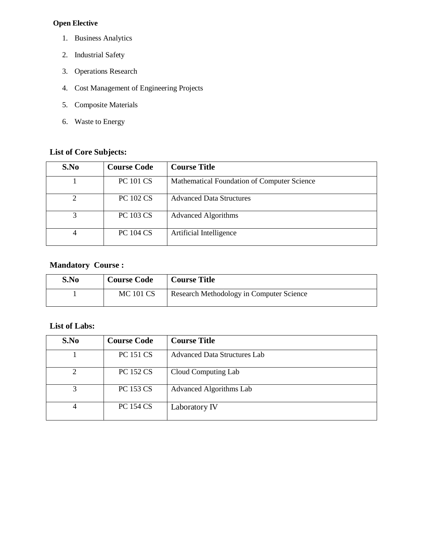#### **Open Elective**

- 1. Business Analytics
- 2. Industrial Safety
- 3. Operations Research
- 4. Cost Management of Engineering Projects
- 5. Composite Materials
- 6. Waste to Energy

### **List of Core Subjects:**

| S.No                        | <b>Course Code</b> | <b>Course Title</b>                         |
|-----------------------------|--------------------|---------------------------------------------|
|                             | <b>PC 101 CS</b>   | Mathematical Foundation of Computer Science |
| $\mathcal{D}_{\mathcal{D}}$ | <b>PC 102 CS</b>   | <b>Advanced Data Structures</b>             |
| 3                           | <b>PC 103 CS</b>   | <b>Advanced Algorithms</b>                  |
| 4                           | <b>PC 104 CS</b>   | Artificial Intelligence                     |

### **Mandatory Course :**

| S.No | <b>Course Code</b> | <b>Course Title</b>                      |
|------|--------------------|------------------------------------------|
|      | <b>MC 101 CS</b>   | Research Methodology in Computer Science |

#### **List of Labs:**

| S.No | <b>Course Code</b> | <b>Course Title</b>            |
|------|--------------------|--------------------------------|
|      | <b>PC 151 CS</b>   | Advanced Data Structures Lab   |
| 2    | <b>PC 152 CS</b>   | Cloud Computing Lab            |
| 3    | <b>PC 153 CS</b>   | <b>Advanced Algorithms Lab</b> |
| 4    | <b>PC 154 CS</b>   | Laboratory IV                  |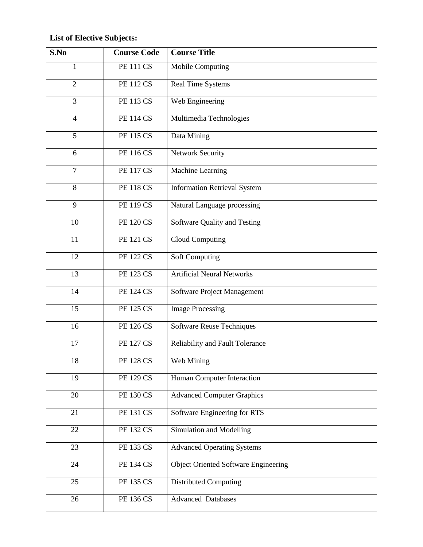# **List of Elective Subjects:**

| S.No           | <b>Course Code</b> | <b>Course Title</b>                         |
|----------------|--------------------|---------------------------------------------|
| $\mathbf{1}$   | <b>PE 111 CS</b>   | Mobile Computing                            |
| $\overline{2}$ | <b>PE 112 CS</b>   | Real Time Systems                           |
| 3              | <b>PE 113 CS</b>   | Web Engineering                             |
| $\overline{4}$ | <b>PE 114 CS</b>   | Multimedia Technologies                     |
| 5              | <b>PE 115 CS</b>   | Data Mining                                 |
| 6              | <b>PE 116 CS</b>   | <b>Network Security</b>                     |
| $\overline{7}$ | <b>PE 117 CS</b>   | Machine Learning                            |
| 8              | <b>PE 118 CS</b>   | <b>Information Retrieval System</b>         |
| 9              | <b>PE 119 CS</b>   | Natural Language processing                 |
| 10             | <b>PE 120 CS</b>   | Software Quality and Testing                |
| 11             | <b>PE 121 CS</b>   | Cloud Computing                             |
| 12             | <b>PE 122 CS</b>   | Soft Computing                              |
| 13             | <b>PE 123 CS</b>   | <b>Artificial Neural Networks</b>           |
| 14             | <b>PE 124 CS</b>   | Software Project Management                 |
| 15             | <b>PE 125 CS</b>   | <b>Image Processing</b>                     |
| 16             | <b>PE 126 CS</b>   | Software Reuse Techniques                   |
| 17             | <b>PE 127 CS</b>   | Reliability and Fault Tolerance             |
| 18             | <b>PE 128 CS</b>   | Web Mining                                  |
| 19             | <b>PE 129 CS</b>   | Human Computer Interaction                  |
| 20             | <b>PE 130 CS</b>   | <b>Advanced Computer Graphics</b>           |
| 21             | <b>PE 131 CS</b>   | Software Engineering for RTS                |
| 22             | <b>PE 132 CS</b>   | Simulation and Modelling                    |
| 23             | <b>PE 133 CS</b>   | <b>Advanced Operating Systems</b>           |
| 24             | <b>PE 134 CS</b>   | <b>Object Oriented Software Engineering</b> |
| 25             | <b>PE 135 CS</b>   | Distributed Computing                       |
| 26             | <b>PE 136 CS</b>   | <b>Advanced Databases</b>                   |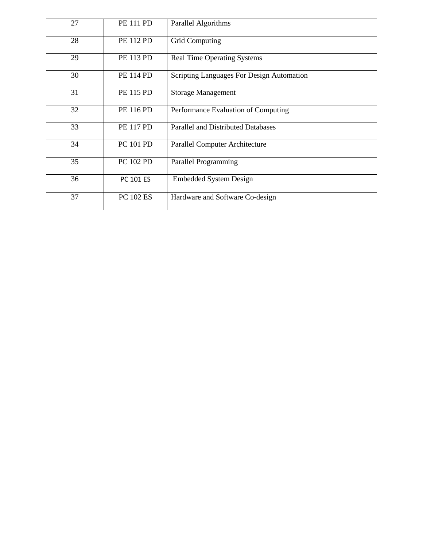| 27 | <b>PE 111 PD</b> | Parallel Algorithms                       |
|----|------------------|-------------------------------------------|
| 28 | <b>PE 112 PD</b> | <b>Grid Computing</b>                     |
| 29 | <b>PE 113 PD</b> | <b>Real Time Operating Systems</b>        |
| 30 | <b>PE 114 PD</b> | Scripting Languages For Design Automation |
| 31 | <b>PE 115 PD</b> | <b>Storage Management</b>                 |
| 32 | <b>PE 116 PD</b> | Performance Evaluation of Computing       |
| 33 | <b>PE 117 PD</b> | <b>Parallel and Distributed Databases</b> |
| 34 | PC 101 PD        | <b>Parallel Computer Architecture</b>     |
| 35 | PC 102 PD        | Parallel Programming                      |
| 36 | <b>PC 101 ES</b> | <b>Embedded System Design</b>             |
| 37 | <b>PC 102 ES</b> | Hardware and Software Co-design           |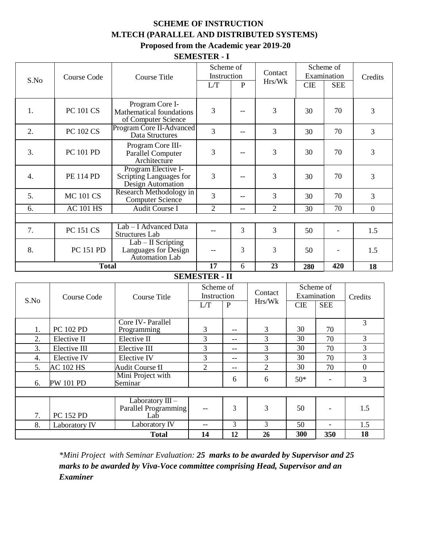### **SCHEME OF INSTRUCTION M.TECH (PARALLEL AND DISTRIBUTED SYSTEMS) Proposed from the Academic year 2019-20**

#### **SEMESTER - I**

|              |                                                  |                                                                     |                      | Scheme of      | Contact        |            | Scheme of                |                  |  |
|--------------|--------------------------------------------------|---------------------------------------------------------------------|----------------------|----------------|----------------|------------|--------------------------|------------------|--|
| S.No         | <b>Course Code</b>                               | <b>Course Title</b>                                                 |                      | Instruction    | Hrs/Wk         |            | Examination              | Credits          |  |
|              |                                                  |                                                                     | L/T                  | $\mathbf{P}$   |                | <b>CIE</b> | <b>SEE</b>               |                  |  |
| 1.           | <b>PC 101 CS</b>                                 | Program Core I-<br>Mathematical foundations<br>of Computer Science  | 3                    |                | 3              | 30         | 70                       | 3                |  |
| 2.           | <b>PC 102 CS</b>                                 | Program Core II-Advanced<br>Data Structures                         | 3                    | --             | 3              | 30         | 70                       | 3                |  |
| 3.           | <b>PC 101 PD</b>                                 | Program Core III-<br><b>Parallel Computer</b><br>Architecture       | 3                    |                | 3              | 30         | 70                       | 3                |  |
| 4.           | <b>PE 114 PD</b>                                 | Program Elective I-<br>Scripting Languages for<br>Design Automation | 3                    | --             | 3              | 30         | 70                       | 3                |  |
| 5.           | <b>MC 101 CS</b>                                 | Research Methodology in<br>Computer Science                         | 3                    | $- -$          | 3              | 30         | 70                       | 3                |  |
| 6.           | <b>AC 101 HS</b>                                 | Audit Course I                                                      | $\overline{2}$       | $-$            | $\overline{2}$ | 30         | 70                       | $\boldsymbol{0}$ |  |
|              |                                                  |                                                                     |                      |                |                |            |                          |                  |  |
| 7.           | <b>PC 151 CS</b>                                 | Lab - I Advanced Data<br><b>Structures Lab</b>                      | $-$                  | 3              | 3              | 50         | $\overline{\phantom{a}}$ | 1.5              |  |
| 8.           | PC 151 PD                                        | $Lab - II$ Scripting<br>Languages for Design<br>Automation Lab      | $\qquad \qquad -$    | 3              | 3              | 50         |                          | 1.5              |  |
|              | <b>Total</b>                                     |                                                                     | 17                   | 6              | 23             | 280        | 420                      | 18               |  |
|              |                                                  |                                                                     | <b>SEMESTER - II</b> |                |                |            |                          |                  |  |
|              |                                                  |                                                                     | Scheme of            |                |                |            | Scheme of                |                  |  |
|              | <b>Course Code</b>                               | <b>Course Title</b>                                                 | Instruction          |                | Contact        |            | Examination              | Credits          |  |
| S.No         |                                                  |                                                                     | L/T                  | $\mathbf{P}$   | Hrs/Wk         | <b>CIE</b> | <b>SEE</b>               |                  |  |
|              |                                                  |                                                                     |                      |                |                |            |                          |                  |  |
| 1.           | PC 102 PD                                        | Core IV-Parallel<br>Programming                                     | $\mathfrak{Z}$       | $-$            | 3              | 30         | 70                       | 3                |  |
| 2.           | Elective II                                      | Elective II                                                         | 3                    | $-$            | 3              | 30         | 70                       | 3                |  |
| 3.           | Elective III                                     | Elective III                                                        | $\overline{3}$       | $-$            | $\overline{3}$ | 30         | 70                       | 3                |  |
| 4.           | Elective IV                                      | Elective IV                                                         | 3                    | --             | 3              | 30         | 70                       | 3                |  |
| 5.           | <b>AC 102 HS</b>                                 | <b>Audit Course II</b>                                              | $\overline{2}$       | $-$            | $\overline{2}$ | 30         | 70                       | $\mathbf{0}$     |  |
| 6.           | Mini Project with<br><b>PW 101 PD</b><br>Seminar |                                                                     |                      | 6              | 6              | $50*$      | $\overline{\phantom{a}}$ | $\overline{3}$   |  |
|              |                                                  |                                                                     |                      |                |                |            |                          |                  |  |
| 7.           | <b>PC 152 PD</b>                                 | Laboratory III-<br>Parallel Programming<br>Lab                      | $- -$                | 3              | 3              | 50         | $\overline{\phantom{a}}$ | 1.5              |  |
| 8.           | Laboratory IV                                    | Laboratory IV                                                       | <u></u>              | $\mathfrak{Z}$ | $\overline{3}$ | 50         | $\blacksquare$           | 1.5              |  |
| <b>Total</b> |                                                  |                                                                     | 14                   | 12             | 26             | 300        | 350                      | 18               |  |

*\*Mini Project with Seminar Evaluation: 25 marks to be awarded by Supervisor and 25 marks to be awarded by Viva-Voce committee comprising Head, Supervisor and an Examiner*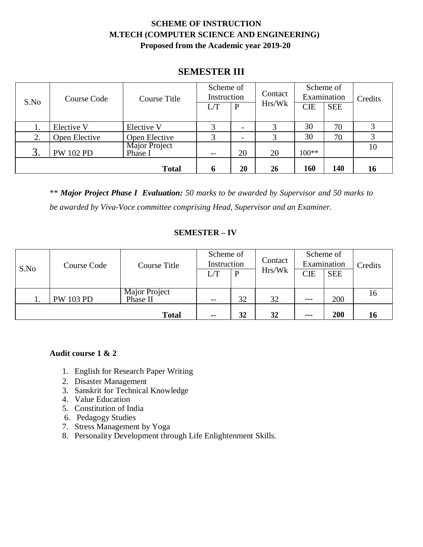## **SCHEME OF INSTRUCTION M.TECH (COMPUTER SCIENCE AND ENGINEERING) Proposed from the Academic year 2019-20**

## **SEMESTER III**

| Course Code<br>S.No |                  | Course Title             | Scheme of<br>Instruction |        | Contact    | Scheme of<br>Examination |     | Credits |
|---------------------|------------------|--------------------------|--------------------------|--------|------------|--------------------------|-----|---------|
|                     |                  | L/T                      | $\mathbf{P}$             | Hrs/Wk | <b>CIE</b> | <b>SEE</b>               |     |         |
| 1.                  | Elective V       | Elective V               | 3                        |        |            | 30                       | 70  |         |
| 2.                  | Open Elective    | Open Elective            | 3                        |        |            | 30                       | 70  |         |
| 3.                  | <b>PW 102 PD</b> | Major Project<br>Phase I | $- -$                    | 20     | 20         | $100**$                  |     | 10      |
|                     |                  | <b>Total</b>             | n                        | 20     | 26         | 160                      | 140 | 16      |

\*\* *Major Project Phase I Evaluation: 50 marks to be awarded by Supervisor and 50 marks to be awarded by Viva-Voce committee comprising Head, Supervisor and an Examiner.*

#### **SEMESTER – IV**

| S.No | Course Code      | Course Title              | Scheme of<br>Instruction |    | Contact | Scheme of<br>Examination |            | Credits |
|------|------------------|---------------------------|--------------------------|----|---------|--------------------------|------------|---------|
|      |                  |                           |                          |    | Hrs/Wk  | <b>CIE</b>               | <b>SEE</b> |         |
|      | <b>PW 103 PD</b> | Major Project<br>Phase II | $- -$                    | 32 | 32      | $---$                    | 200        | 16      |
|      |                  | <b>Total</b>              | $\sim$ $\sim$            | 32 | 32      | $\qquad \qquad \cdots$   | 200        | 16      |

#### **Audit course 1 & 2**

- 1. English for Research Paper Writing
- 2. Disaster Management
- 3. Sanskrit for Technical Knowledge
- 4. Value Education
- 5. Constitution of India
- 6. Pedagogy Studies
- 7. Stress Management by Yoga
- 8. Personality Development through Life Enlightenment Skills.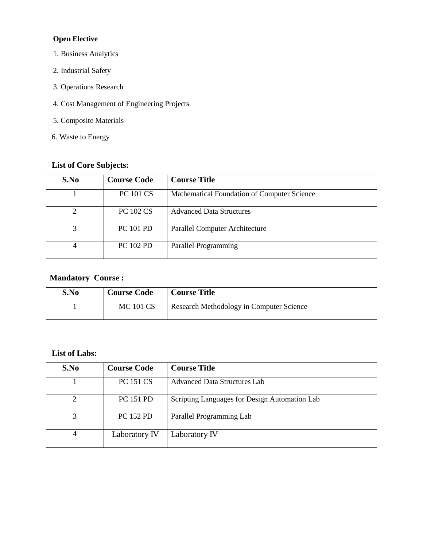#### **Open Elective**

- 1. Business Analytics
- 2. Industrial Safety
- 3. Operations Research
- 4. Cost Management of Engineering Projects
- 5. Composite Materials
- 6. Waste to Energy

## **List of Core Subjects:**

| S.No                        | <b>Course Code</b> | <b>Course Title</b>                         |
|-----------------------------|--------------------|---------------------------------------------|
|                             | <b>PC 101 CS</b>   | Mathematical Foundation of Computer Science |
| $\mathcal{D}_{\mathcal{A}}$ | <b>PC 102 CS</b>   | <b>Advanced Data Structures</b>             |
| 3                           | <b>PC 101 PD</b>   | <b>Parallel Computer Architecture</b>       |
| 4                           | <b>PC 102 PD</b>   | Parallel Programming                        |

#### **Mandatory Course :**

| S.No | <b>Course Code</b> | <b>Course Title</b>                      |
|------|--------------------|------------------------------------------|
|      | MC 101 CS          | Research Methodology in Computer Science |

#### **List of Labs:**

| S.No | <b>Course Code</b> | <b>Course Title</b>                           |
|------|--------------------|-----------------------------------------------|
|      | <b>PC 151 CS</b>   | Advanced Data Structures Lab                  |
| 2    | <b>PC 151 PD</b>   | Scripting Languages for Design Automation Lab |
| 3    | <b>PC 152 PD</b>   | Parallel Programming Lab                      |
| 4    | Laboratory IV      | Laboratory IV                                 |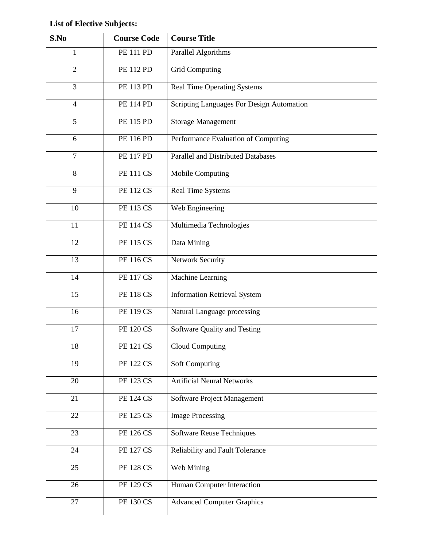## **List of Elective Subjects:**

| S.No           | <b>Course Code</b> | <b>Course Title</b>                       |
|----------------|--------------------|-------------------------------------------|
| $\mathbf{1}$   | <b>PE 111 PD</b>   | Parallel Algorithms                       |
| $\overline{2}$ | <b>PE 112 PD</b>   | <b>Grid Computing</b>                     |
| 3              | PE 113 PD          | <b>Real Time Operating Systems</b>        |
| $\overline{4}$ | <b>PE 114 PD</b>   | Scripting Languages For Design Automation |
| 5              | <b>PE 115 PD</b>   | <b>Storage Management</b>                 |
| 6              | <b>PE 116 PD</b>   | Performance Evaluation of Computing       |
| $\overline{7}$ | <b>PE 117 PD</b>   | <b>Parallel and Distributed Databases</b> |
| $\,8\,$        | <b>PE 111 CS</b>   | Mobile Computing                          |
| 9              | <b>PE 112 CS</b>   | Real Time Systems                         |
| 10             | <b>PE 113 CS</b>   | Web Engineering                           |
| 11             | <b>PE 114 CS</b>   | Multimedia Technologies                   |
| 12             | <b>PE 115 CS</b>   | Data Mining                               |
| 13             | <b>PE 116 CS</b>   | Network Security                          |
| 14             | <b>PE 117 CS</b>   | <b>Machine Learning</b>                   |
| 15             | <b>PE 118 CS</b>   | <b>Information Retrieval System</b>       |
| 16             | <b>PE 119 CS</b>   | Natural Language processing               |
| 17             | <b>PE 120 CS</b>   | Software Quality and Testing              |
| 18             | <b>PE 121 CS</b>   | <b>Cloud Computing</b>                    |
| 19             | <b>PE 122 CS</b>   | <b>Soft Computing</b>                     |
| 20             | <b>PE 123 CS</b>   | <b>Artificial Neural Networks</b>         |
| 21             | <b>PE 124 CS</b>   | Software Project Management               |
| 22             | <b>PE 125 CS</b>   | <b>Image Processing</b>                   |
| 23             | <b>PE 126 CS</b>   | <b>Software Reuse Techniques</b>          |
| 24             | <b>PE 127 CS</b>   | Reliability and Fault Tolerance           |
| 25             | <b>PE 128 CS</b>   | Web Mining                                |
| 26             | <b>PE 129 CS</b>   | Human Computer Interaction                |
| 27             | <b>PE 130 CS</b>   | <b>Advanced Computer Graphics</b>         |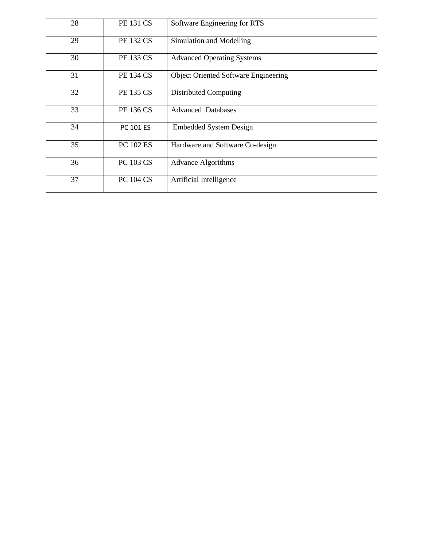| 28 | <b>PE 131 CS</b> | Software Engineering for RTS                |
|----|------------------|---------------------------------------------|
| 29 | <b>PE 132 CS</b> | Simulation and Modelling                    |
| 30 | <b>PE 133 CS</b> | <b>Advanced Operating Systems</b>           |
| 31 | <b>PE 134 CS</b> | <b>Object Oriented Software Engineering</b> |
| 32 | <b>PE 135 CS</b> | <b>Distributed Computing</b>                |
| 33 | <b>PE 136 CS</b> | <b>Advanced Databases</b>                   |
| 34 | <b>PC 101 ES</b> | <b>Embedded System Design</b>               |
| 35 | <b>PC 102 ES</b> | Hardware and Software Co-design             |
| 36 | <b>PC 103 CS</b> | <b>Advance Algorithms</b>                   |
| 37 | <b>PC 104 CS</b> | Artificial Intelligence                     |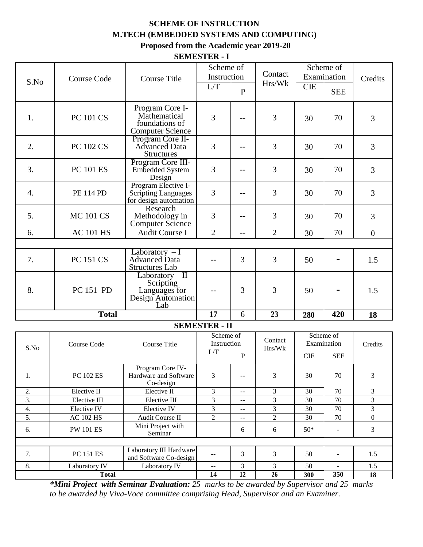### **SCHEME OF INSTRUCTION M.TECH (EMBEDDED SYSTEMS AND COMPUTING) Proposed from the Academic year 2019-20**

**SEMESTER - I**

|                  |                                                                                                  |                                                                             | Scheme of<br>Instruction |                          | Contact         | Scheme of<br>Examination |                |                  |
|------------------|--------------------------------------------------------------------------------------------------|-----------------------------------------------------------------------------|--------------------------|--------------------------|-----------------|--------------------------|----------------|------------------|
| S.No             | <b>Course Code</b>                                                                               | <b>Course Title</b>                                                         | L/T                      |                          | Hrs/Wk          | <b>CIE</b>               |                | Credits          |
|                  |                                                                                                  |                                                                             |                          | $\mathbf{P}$             |                 |                          | <b>SEE</b>     |                  |
| 1.               | Program Core I-<br>Mathematical<br><b>PC 101 CS</b><br>foundations of<br><b>Computer Science</b> |                                                                             | 3                        |                          | 3               | 30                       | 70             | 3                |
| 2.               | <b>PC 102 CS</b>                                                                                 | Program Core II-<br><b>Advanced Data</b><br><b>Structures</b>               | 3                        | --                       | 3               | 30                       | 70             | 3                |
| 3.               | <b>PC 101 ES</b>                                                                                 | Program Core III-<br>Embedded System<br>Design                              | 3                        | $-$                      | 3               | 30                       | 70             | 3                |
| 4.               | <b>PE 114 PD</b>                                                                                 | Program Elective I-<br><b>Scripting Languages</b><br>for design automation  | 3                        | $-$                      | 3               | 30                       | 70             | 3                |
| 5.               | <b>MC 101 CS</b>                                                                                 | Research<br>Methodology in<br>Computer Science                              | 3                        | --                       | 3               | 30                       | 70             | 3                |
| 6.               | <b>AC 101 HS</b>                                                                                 | <b>Audit Course I</b>                                                       | $\overline{2}$           | --                       | $\overline{2}$  | 30                       | 70             | $\overline{0}$   |
|                  |                                                                                                  |                                                                             |                          |                          |                 |                          |                |                  |
| 7.               | <b>PC 151 CS</b>                                                                                 | Laboratory $-I$<br><b>Advanced Data</b><br><b>Structures Lab</b>            | $-$                      | $\overline{3}$           | 3               | 50                       |                | 1.5              |
| 8.               | PC 151 PD                                                                                        | $Laboratory - II$<br>Scripting<br>Languages for<br>Design Automation<br>Lab |                          | 3                        | 3               | 50                       |                | 1.5              |
| <b>Total</b>     |                                                                                                  |                                                                             | 17                       | 6                        | 23              | 280                      | 420            | 18               |
|                  |                                                                                                  |                                                                             | <b>SEMESTER - II</b>     |                          |                 |                          |                |                  |
|                  |                                                                                                  |                                                                             | Scheme of                |                          | Contact         |                          | Scheme of      |                  |
| S.No             | <b>Course Code</b>                                                                               | Course Title                                                                | Instruction              |                          | Hrs/Wk          | Examination              |                | Credits          |
|                  |                                                                                                  |                                                                             | L/T                      | ${\bf P}$                |                 | <b>CIE</b>               | <b>SEE</b>     |                  |
| 1.               | PC 102 ES                                                                                        | Program Core IV-<br>Hardware and Software<br>Co-design                      | 3                        | --                       | $\mathfrak{Z}$  | 30                       | 70             | 3                |
| 2.               | Elective II                                                                                      | Elective II                                                                 | 3                        | --                       | $\mathfrak{Z}$  | 30                       | 70             | $\mathfrak{Z}$   |
| $\overline{3}$ . | Elective III                                                                                     | Elective III                                                                | $\overline{3}$           | --                       | $\overline{3}$  | 30                       | $70\,$         | $\mathfrak{Z}$   |
| 4.               | Elective IV                                                                                      | Elective IV                                                                 | $\overline{3}$           | $\overline{\phantom{a}}$ | $\overline{3}$  | 30                       | 70             | $\mathfrak{Z}$   |
| $\overline{5}$ . | <b>AC 102 HS</b>                                                                                 | Audit Course II                                                             | $\overline{2}$           | 44                       | $\overline{2}$  | 30                       | 70             | $\boldsymbol{0}$ |
| 6.               | <b>PW 101 ES</b>                                                                                 | Mini Project with<br>Seminar                                                |                          | 6                        | $6\,$           | $50*$                    | $\blacksquare$ | $\overline{3}$   |
|                  |                                                                                                  |                                                                             |                          |                          |                 |                          |                |                  |
| 7.               | <b>PC 151 ES</b>                                                                                 | Laboratory III Hardware<br>and Software Co-design                           | $\overline{a}$           | $\mathfrak{Z}$           | $\mathfrak{Z}$  | 50                       |                | 1.5              |
| 8.               | Laboratory IV                                                                                    | Laboratory IV                                                               | --                       | $\overline{3}$           | $\overline{3}$  | 50                       |                | 1.5              |
| <b>Total</b>     |                                                                                                  |                                                                             | 14                       | 12                       | $26\phantom{.}$ | 300                      | 350            | 18               |

*\*Mini Project with Seminar Evaluation: 25 marks to be awarded by Supervisor and 25 marks to be awarded by Viva-Voce committee comprising Head, Supervisor and an Examiner.*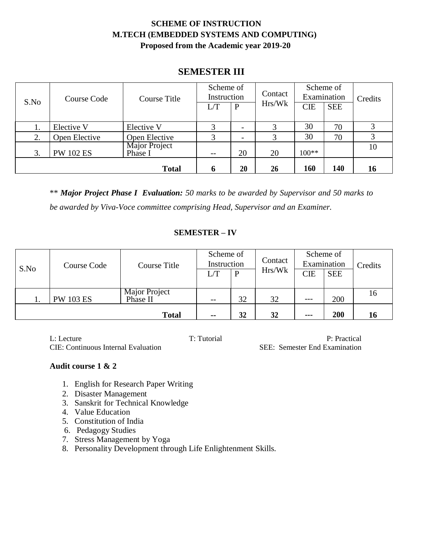## **SCHEME OF INSTRUCTION M.TECH (EMBEDDED SYSTEMS AND COMPUTING) Proposed from the Academic year 2019-20**

## **SEMESTER III**

|      | Course Code      | Course Title             | Scheme of<br>Instruction |              | Contact | Scheme of<br>Examination |            | Credits |
|------|------------------|--------------------------|--------------------------|--------------|---------|--------------------------|------------|---------|
| S.No |                  |                          |                          | $\mathbf{P}$ | Hrs/Wk  | <b>CIE</b>               | <b>SEE</b> |         |
| 1.   | Elective V       | Elective V               | 3                        |              |         | 30                       | 70         |         |
| 2.   | Open Elective    | Open Elective            | 3                        |              |         | 30                       | 70         |         |
| 3.   | <b>PW 102 ES</b> | Major Project<br>Phase I | $- -$                    | 20           | 20      | $100**$                  |            | 10      |
|      |                  | <b>Total</b>             | h                        | 20           | 26      | 160                      | 140        | 16      |

\*\* *Major Project Phase I Evaluation: 50 marks to be awarded by Supervisor and 50 marks to be awarded by Viva-Voce committee comprising Head, Supervisor and an Examiner.*

#### **SEMESTER – IV**

|      | Course Code      | Course Title              | Scheme of<br>Instruction |    | Contact | Scheme of<br>Examination |            | Credits |
|------|------------------|---------------------------|--------------------------|----|---------|--------------------------|------------|---------|
| S.No |                  |                           | L/T                      | D  | Hrs/Wk  | <b>CIE</b>               | <b>SEE</b> |         |
|      | <b>PW 103 ES</b> | Major Project<br>Phase II | $- -$                    | 32 | 32      | $---$                    | 200        | 16      |
|      |                  | <b>Total</b>              | $\sim$ $\sim$            | 32 | 32      | $\qquad \qquad \cdots$   | 200        | 16      |

L: Lecture T: Tutorial P: Practical P: Practical CIE: Continuous Internal Evaluation SEE: Semester End Examination

#### **Audit course 1 & 2**

- 1. English for Research Paper Writing
- 2. Disaster Management
- 3. Sanskrit for Technical Knowledge
- 4. Value Education
- 5. Constitution of India
- 6. Pedagogy Studies
- 7. Stress Management by Yoga
- 8. Personality Development through Life Enlightenment Skills.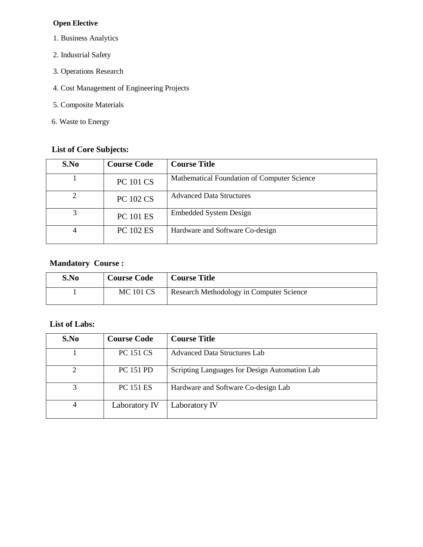#### **Open Elective**

- 1. Business Analytics
- 2. Industrial Safety
- 3. Operations Research
- 4. Cost Management of Engineering Projects
- 5. Composite Materials
- 6. Waste to Energy

## **List of Core Subjects:**

| S.No           | <b>Course Code</b> | <b>Course Title</b>                         |
|----------------|--------------------|---------------------------------------------|
|                | <b>PC 101 CS</b>   | Mathematical Foundation of Computer Science |
| $\overline{c}$ | <b>PC 102 CS</b>   | <b>Advanced Data Structures</b>             |
| 3              | <b>PC 101 ES</b>   | <b>Embedded System Design</b>               |
| 4              | <b>PC 102 ES</b>   | Hardware and Software Co-design             |

### **Mandatory Course :**

| S.No | <b>Course Code</b> | <b>Course Title</b>                      |
|------|--------------------|------------------------------------------|
|      | <b>MC 101 CS</b>   | Research Methodology in Computer Science |

### **List of Labs:**

| S.No | <b>Course Code</b> | <b>Course Title</b>                           |
|------|--------------------|-----------------------------------------------|
|      | <b>PC 151 CS</b>   | Advanced Data Structures Lab                  |
| 2    | <b>PC 151 PD</b>   | Scripting Languages for Design Automation Lab |
| 3    | <b>PC 151 ES</b>   | Hardware and Software Co-design Lab           |
| 4    | Laboratory IV      | Laboratory IV                                 |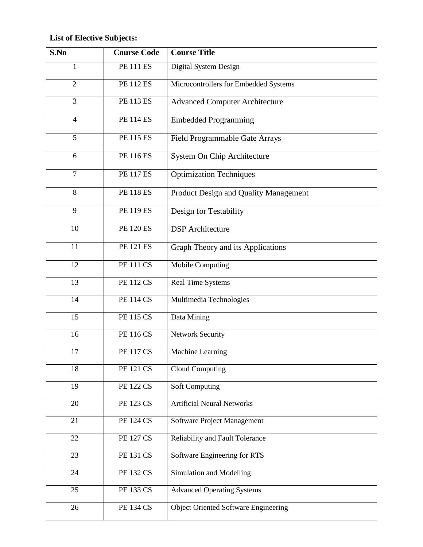# **List of Elective Subjects:**

| S.No           | <b>Course Code</b> | <b>Course Title</b>                         |
|----------------|--------------------|---------------------------------------------|
| $\mathbf{1}$   | <b>PE 111 ES</b>   | Digital System Design                       |
| $\overline{2}$ | <b>PE 112 ES</b>   | Microcontrollers for Embedded Systems       |
| $\overline{3}$ | <b>PE 113 ES</b>   | <b>Advanced Computer Architecture</b>       |
| $\overline{4}$ | <b>PE 114 ES</b>   | <b>Embedded Programming</b>                 |
| 5              | <b>PE 115 ES</b>   | Field Programmable Gate Arrays              |
| 6              | <b>PE 116 ES</b>   | System On Chip Architecture                 |
| $\overline{7}$ | <b>PE 117 ES</b>   | <b>Optimization Techniques</b>              |
| 8              | <b>PE 118 ES</b>   | Product Design and Quality Management       |
| 9              | <b>PE 119 ES</b>   | Design for Testability                      |
| 10             | <b>PE 120 ES</b>   | <b>DSP</b> Architecture                     |
| 11             | <b>PE 121 ES</b>   | Graph Theory and its Applications           |
| 12             | <b>PE 111 CS</b>   | Mobile Computing                            |
| 13             | <b>PE 112 CS</b>   | Real Time Systems                           |
| 14             | <b>PE 114 CS</b>   | Multimedia Technologies                     |
| 15             | <b>PE 115 CS</b>   | Data Mining                                 |
| 16             | <b>PE 116 CS</b>   | <b>Network Security</b>                     |
| 17             | <b>PE 117 CS</b>   | Machine Learning                            |
| 18             | <b>PE 121 CS</b>   | <b>Cloud Computing</b>                      |
| 19             | <b>PE 122 CS</b>   | <b>Soft Computing</b>                       |
| 20             | <b>PE 123 CS</b>   | <b>Artificial Neural Networks</b>           |
| 21             | <b>PE 124 CS</b>   | Software Project Management                 |
| 22             | <b>PE 127 CS</b>   | Reliability and Fault Tolerance             |
| 23             | <b>PE 131 CS</b>   | Software Engineering for RTS                |
| 24             | <b>PE 132 CS</b>   | Simulation and Modelling                    |
| 25             | <b>PE 133 CS</b>   | <b>Advanced Operating Systems</b>           |
| 26             | <b>PE 134 CS</b>   | <b>Object Oriented Software Engineering</b> |